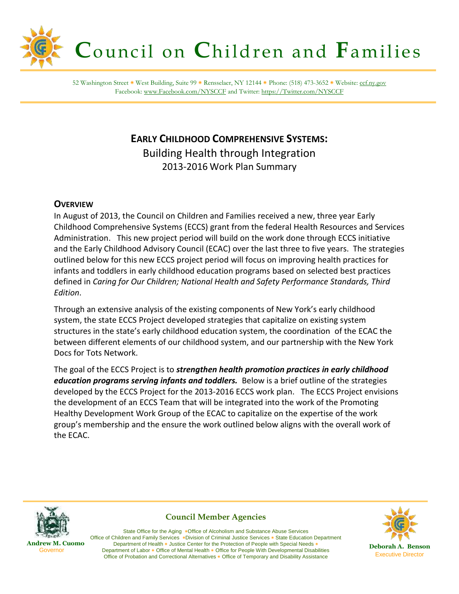

52 Washington Street ٭ West Building, Suite 99 ٭ Rensselaer, NY 12144 ٭ Phone: (518) 473-3652 ٭ Website: [ccf.ny.gov](file://fnpcfs0a1al/groupshares/CCF/SharedFiles/CCFLetterhead/ccf.ny.gov) Facebook: [www.Facebook.com/NYSCCF](http://www.facebook.com/NYSCCF) and Twitter[: https://Twitter.com/NYSCCF](https://twitter.com/NYSCCF)

# **EARLY CHILDHOOD COMPREHENSIVE SYSTEMS:** Building Health through Integration 2013-2016 Work Plan Summary

## **OVERVIEW**

In August of 2013, the Council on Children and Families received a new, three year Early Childhood Comprehensive Systems (ECCS) grant from the federal Health Resources and Services Administration. This new project period will build on the work done through ECCS initiative and the Early Childhood Advisory Council (ECAC) over the last three to five years. The strategies outlined below for this new ECCS project period will focus on improving health practices for infants and toddlers in early childhood education programs based on selected best practices defined in *Caring for Our Children; National Health and Safety Performance Standards, Third Edition*.

Through an extensive analysis of the existing components of New York's early childhood system, the state ECCS Project developed strategies that capitalize on existing system structures in the state's early childhood education system, the coordination of the ECAC the between different elements of our childhood system, and our partnership with the New York Docs for Tots Network.

The goal of the ECCS Project is to *strengthen health promotion practices in early childhood education programs serving infants and toddlers.* Below is a brief outline of the strategies developed by the ECCS Project for the 2013-2016 ECCS work plan. The ECCS Project envisions the development of an ECCS Team that will be integrated into the work of the Promoting Healthy Development Work Group of the ECAC to capitalize on the expertise of the work group's membership and the ensure the work outlined below aligns with the overall work of the ECAC.



**Council Member Agencies**



 **Andrew M. Cuomo Governor** 

State Office for the Aging ٭Office of Alcoholism and Substance Abuse Services Office of Children and Family Services ٭Division of Criminal Justice Services ٭ State Education Department Department of Health ٭ Justice Center for the Protection of People with Special Needs ٭ Department of Labor ٭ Office of Mental Health ٭ Office for People With Developmental Disabilities Office of Probation and Correctional Alternatives ٭ Office of Temporary and Disability Assistance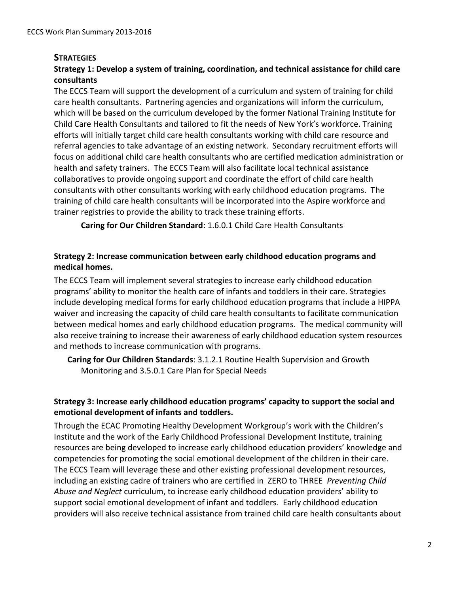#### **STRATEGIES**

## **Strategy 1: Develop a system of training, coordination, and technical assistance for child care consultants**

The ECCS Team will support the development of a curriculum and system of training for child care health consultants. Partnering agencies and organizations will inform the curriculum, which will be based on the curriculum developed by the former National Training Institute for Child Care Health Consultants and tailored to fit the needs of New York's workforce. Training efforts will initially target child care health consultants working with child care resource and referral agencies to take advantage of an existing network. Secondary recruitment efforts will focus on additional child care health consultants who are certified medication administration or health and safety trainers. The ECCS Team will also facilitate local technical assistance collaboratives to provide ongoing support and coordinate the effort of child care health consultants with other consultants working with early childhood education programs. The training of child care health consultants will be incorporated into the Aspire workforce and trainer registries to provide the ability to track these training efforts.

**Caring for Our Children Standard**: 1.6.0.1 Child Care Health Consultants

#### **Strategy 2: Increase communication between early childhood education programs and medical homes.**

The ECCS Team will implement several strategies to increase early childhood education programs' ability to monitor the health care of infants and toddlers in their care. Strategies include developing medical forms for early childhood education programs that include a HIPPA waiver and increasing the capacity of child care health consultants to facilitate communication between medical homes and early childhood education programs. The medical community will also receive training to increase their awareness of early childhood education system resources and methods to increase communication with programs.

**Caring for Our Children Standards**: 3.1.2.1 Routine Health Supervision and Growth Monitoring and 3.5.0.1 Care Plan for Special Needs

#### **Strategy 3: Increase early childhood education programs' capacity to support the social and emotional development of infants and toddlers.**

Through the ECAC Promoting Healthy Development Workgroup's work with the Children's Institute and the work of the Early Childhood Professional Development Institute, training resources are being developed to increase early childhood education providers' knowledge and competencies for promoting the social emotional development of the children in their care. The ECCS Team will leverage these and other existing professional development resources, including an existing cadre of trainers who are certified in ZERO to THREE *Preventing Child Abuse and Neglect* curriculum, to increase early childhood education providers' ability to support social emotional development of infant and toddlers. Early childhood education providers will also receive technical assistance from trained child care health consultants about